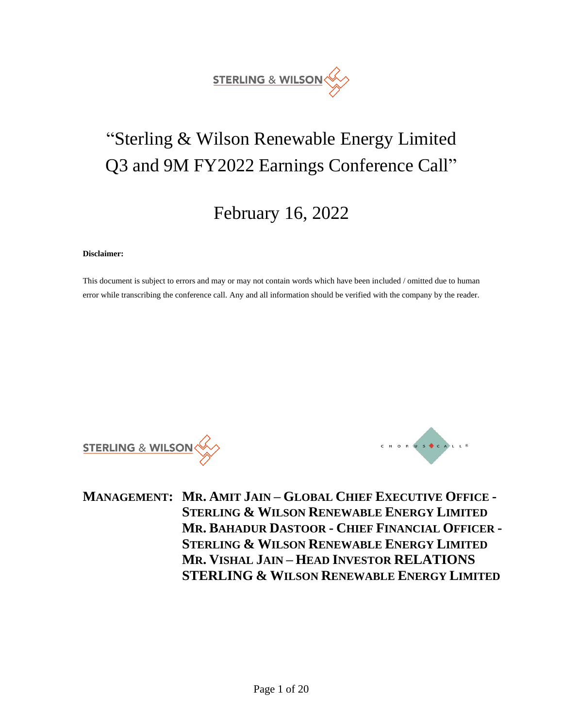

# "Sterling & Wilson Renewable Energy Limited Q3 and 9M FY2022 Earnings Conference Call"

## February 16, 2022

#### **Disclaimer:**

This document is subject to errors and may or may not contain words which have been included / omitted due to human error while transcribing the conference call. Any and all information should be verified with the company by the reader.

**STERLING & WILSON** 



**MANAGEMENT: MR. AMIT JAIN – GLOBAL CHIEF EXECUTIVE OFFICE - STERLING & WILSON RENEWABLE ENERGY LIMITED MR. BAHADUR DASTOOR - CHIEF FINANCIAL OFFICER - STERLING & WILSON RENEWABLE ENERGY LIMITED MR. VISHAL JAIN – HEAD INVESTOR RELATIONS STERLING & WILSON RENEWABLE ENERGY LIMITED**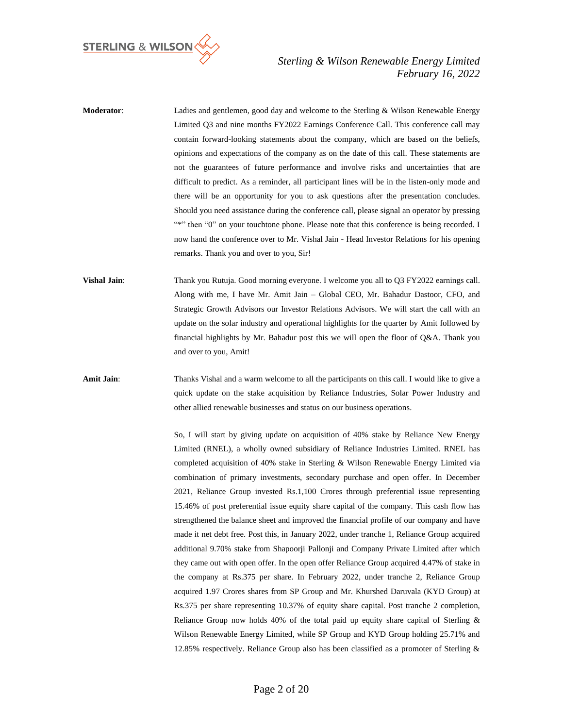

**Moderator**: Ladies and gentlemen, good day and welcome to the Sterling & Wilson Renewable Energy Limited Q3 and nine months FY2022 Earnings Conference Call. This conference call may contain forward-looking statements about the company, which are based on the beliefs, opinions and expectations of the company as on the date of this call. These statements are not the guarantees of future performance and involve risks and uncertainties that are difficult to predict. As a reminder, all participant lines will be in the listen-only mode and there will be an opportunity for you to ask questions after the presentation concludes. Should you need assistance during the conference call, please signal an operator by pressing "\*" then "0" on your touchtone phone. Please note that this conference is being recorded. I now hand the conference over to Mr. Vishal Jain - Head Investor Relations for his opening remarks. Thank you and over to you, Sir! **Vishal Jain**: Thank you Rutuja. Good morning everyone. I welcome you all to Q3 FY2022 earnings call. Along with me, I have Mr. Amit Jain – Global CEO, Mr. Bahadur Dastoor, CFO, and Strategic Growth Advisors our Investor Relations Advisors. We will start the call with an update on the solar industry and operational highlights for the quarter by Amit followed by financial highlights by Mr. Bahadur post this we will open the floor of Q&A. Thank you and over to you, Amit! Amit Jain: Thanks Vishal and a warm welcome to all the participants on this call. I would like to give a quick update on the stake acquisition by Reliance Industries, Solar Power Industry and other allied renewable businesses and status on our business operations. So, I will start by giving update on acquisition of 40% stake by Reliance New Energy Limited (RNEL), a wholly owned subsidiary of Reliance Industries Limited. RNEL has completed acquisition of 40% stake in Sterling & Wilson Renewable Energy Limited via combination of primary investments, secondary purchase and open offer. In December 2021, Reliance Group invested Rs.1,100 Crores through preferential issue representing 15.46% of post preferential issue equity share capital of the company. This cash flow has strengthened the balance sheet and improved the financial profile of our company and have made it net debt free. Post this, in January 2022, under tranche 1, Reliance Group acquired additional 9.70% stake from Shapoorji Pallonji and Company Private Limited after which they came out with open offer. In the open offer Reliance Group acquired 4.47% of stake in the company at Rs.375 per share. In February 2022, under tranche 2, Reliance Group acquired 1.97 Crores shares from SP Group and Mr. Khurshed Daruvala (KYD Group) at Rs.375 per share representing 10.37% of equity share capital. Post tranche 2 completion,

Reliance Group now holds 40% of the total paid up equity share capital of Sterling &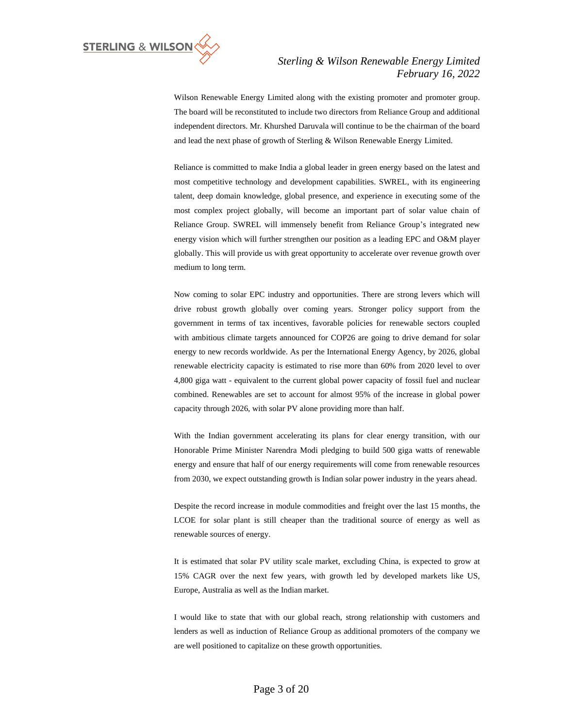

Wilson Renewable Energy Limited along with the existing promoter and promoter group. The board will be reconstituted to include two directors from Reliance Group and additional independent directors. Mr. Khurshed Daruvala will continue to be the chairman of the board and lead the next phase of growth of Sterling & Wilson Renewable Energy Limited.

Reliance is committed to make India a global leader in green energy based on the latest and most competitive technology and development capabilities. SWREL, with its engineering talent, deep domain knowledge, global presence, and experience in executing some of the most complex project globally, will become an important part of solar value chain of Reliance Group. SWREL will immensely benefit from Reliance Group's integrated new energy vision which will further strengthen our position as a leading EPC and O&M player globally. This will provide us with great opportunity to accelerate over revenue growth over medium to long term.

Now coming to solar EPC industry and opportunities. There are strong levers which will drive robust growth globally over coming years. Stronger policy support from the government in terms of tax incentives, favorable policies for renewable sectors coupled with ambitious climate targets announced for COP26 are going to drive demand for solar energy to new records worldwide. As per the International Energy Agency, by 2026, global renewable electricity capacity is estimated to rise more than 60% from 2020 level to over 4,800 giga watt - equivalent to the current global power capacity of fossil fuel and nuclear combined. Renewables are set to account for almost 95% of the increase in global power capacity through 2026, with solar PV alone providing more than half.

With the Indian government accelerating its plans for clear energy transition, with our Honorable Prime Minister Narendra Modi pledging to build 500 giga watts of renewable energy and ensure that half of our energy requirements will come from renewable resources from 2030, we expect outstanding growth is Indian solar power industry in the years ahead.

Despite the record increase in module commodities and freight over the last 15 months, the LCOE for solar plant is still cheaper than the traditional source of energy as well as renewable sources of energy.

It is estimated that solar PV utility scale market, excluding China, is expected to grow at 15% CAGR over the next few years, with growth led by developed markets like US, Europe, Australia as well as the Indian market.

I would like to state that with our global reach, strong relationship with customers and lenders as well as induction of Reliance Group as additional promoters of the company we are well positioned to capitalize on these growth opportunities.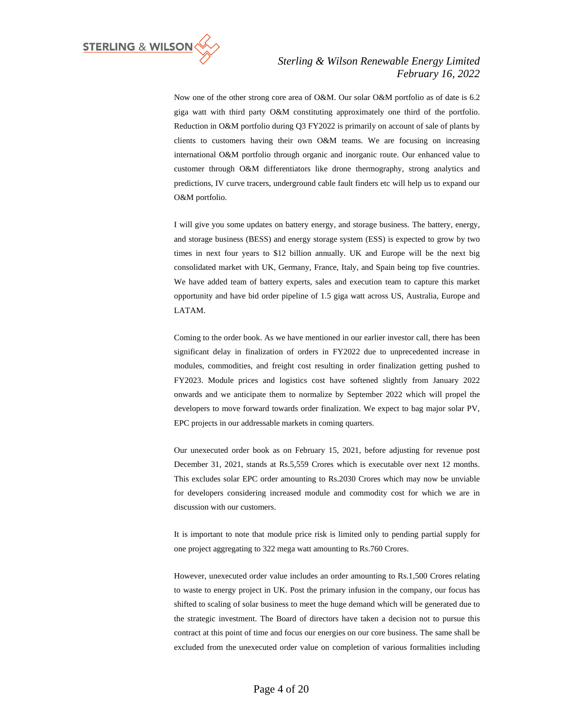

Now one of the other strong core area of O&M. Our solar O&M portfolio as of date is 6.2 giga watt with third party O&M constituting approximately one third of the portfolio. Reduction in O&M portfolio during Q3 FY2022 is primarily on account of sale of plants by clients to customers having their own O&M teams. We are focusing on increasing international O&M portfolio through organic and inorganic route. Our enhanced value to customer through O&M differentiators like drone thermography, strong analytics and predictions, IV curve tracers, underground cable fault finders etc will help us to expand our O&M portfolio.

I will give you some updates on battery energy, and storage business. The battery, energy, and storage business (BESS) and energy storage system (ESS) is expected to grow by two times in next four years to \$12 billion annually. UK and Europe will be the next big consolidated market with UK, Germany, France, Italy, and Spain being top five countries. We have added team of battery experts, sales and execution team to capture this market opportunity and have bid order pipeline of 1.5 giga watt across US, Australia, Europe and LATAM.

Coming to the order book. As we have mentioned in our earlier investor call, there has been significant delay in finalization of orders in FY2022 due to unprecedented increase in modules, commodities, and freight cost resulting in order finalization getting pushed to FY2023. Module prices and logistics cost have softened slightly from January 2022 onwards and we anticipate them to normalize by September 2022 which will propel the developers to move forward towards order finalization. We expect to bag major solar PV, EPC projects in our addressable markets in coming quarters.

Our unexecuted order book as on February 15, 2021, before adjusting for revenue post December 31, 2021, stands at Rs.5,559 Crores which is executable over next 12 months. This excludes solar EPC order amounting to Rs.2030 Crores which may now be unviable for developers considering increased module and commodity cost for which we are in discussion with our customers.

It is important to note that module price risk is limited only to pending partial supply for one project aggregating to 322 mega watt amounting to Rs.760 Crores.

However, unexecuted order value includes an order amounting to Rs.1,500 Crores relating to waste to energy project in UK. Post the primary infusion in the company, our focus has shifted to scaling of solar business to meet the huge demand which will be generated due to the strategic investment. The Board of directors have taken a decision not to pursue this contract at this point of time and focus our energies on our core business. The same shall be excluded from the unexecuted order value on completion of various formalities including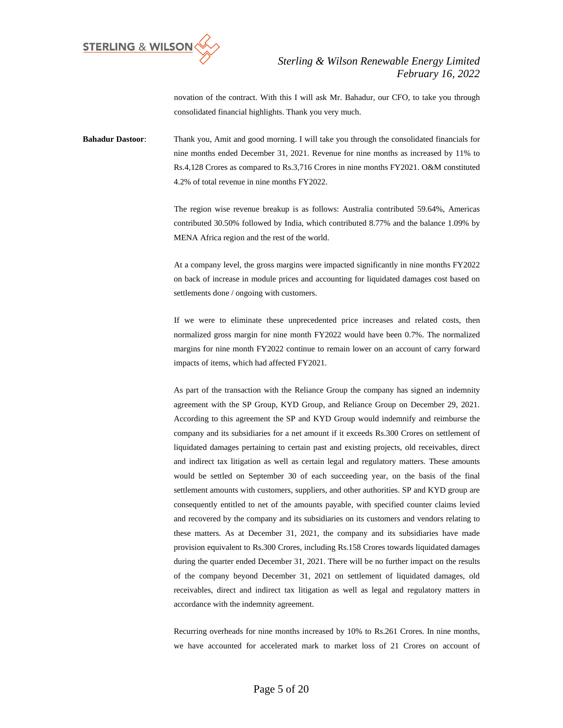

novation of the contract. With this I will ask Mr. Bahadur, our CFO, to take you through consolidated financial highlights. Thank you very much.

**Bahadur Dastoor**: Thank you, Amit and good morning. I will take you through the consolidated financials for nine months ended December 31, 2021. Revenue for nine months as increased by 11% to Rs.4,128 Crores as compared to Rs.3,716 Crores in nine months FY2021. O&M constituted 4.2% of total revenue in nine months FY2022.

> The region wise revenue breakup is as follows: Australia contributed 59.64%, Americas contributed 30.50% followed by India, which contributed 8.77% and the balance 1.09% by MENA Africa region and the rest of the world.

> At a company level, the gross margins were impacted significantly in nine months FY2022 on back of increase in module prices and accounting for liquidated damages cost based on settlements done / ongoing with customers.

> If we were to eliminate these unprecedented price increases and related costs, then normalized gross margin for nine month FY2022 would have been 0.7%. The normalized margins for nine month FY2022 continue to remain lower on an account of carry forward impacts of items, which had affected FY2021.

> As part of the transaction with the Reliance Group the company has signed an indemnity agreement with the SP Group, KYD Group, and Reliance Group on December 29, 2021. According to this agreement the SP and KYD Group would indemnify and reimburse the company and its subsidiaries for a net amount if it exceeds Rs.300 Crores on settlement of liquidated damages pertaining to certain past and existing projects, old receivables, direct and indirect tax litigation as well as certain legal and regulatory matters. These amounts would be settled on September 30 of each succeeding year, on the basis of the final settlement amounts with customers, suppliers, and other authorities. SP and KYD group are consequently entitled to net of the amounts payable, with specified counter claims levied and recovered by the company and its subsidiaries on its customers and vendors relating to these matters. As at December 31, 2021, the company and its subsidiaries have made provision equivalent to Rs.300 Crores, including Rs.158 Crores towards liquidated damages during the quarter ended December 31, 2021. There will be no further impact on the results of the company beyond December 31, 2021 on settlement of liquidated damages, old receivables, direct and indirect tax litigation as well as legal and regulatory matters in accordance with the indemnity agreement.

> Recurring overheads for nine months increased by 10% to Rs.261 Crores. In nine months, we have accounted for accelerated mark to market loss of 21 Crores on account of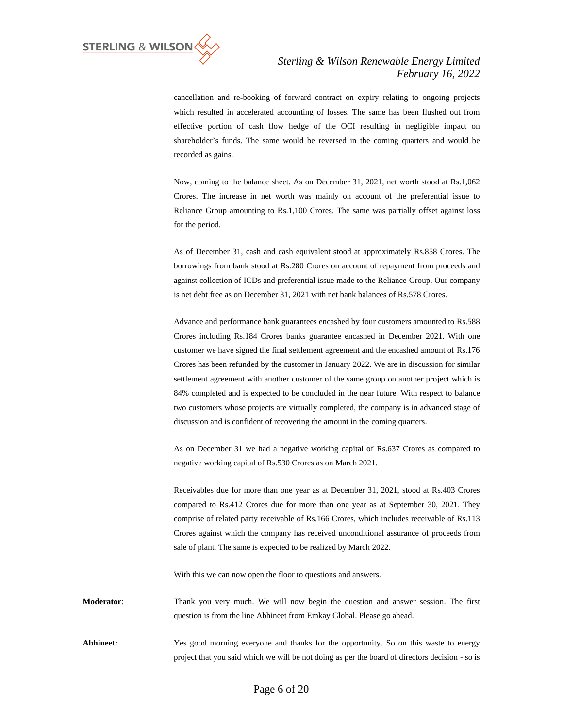

cancellation and re-booking of forward contract on expiry relating to ongoing projects which resulted in accelerated accounting of losses. The same has been flushed out from effective portion of cash flow hedge of the OCI resulting in negligible impact on shareholder's funds. The same would be reversed in the coming quarters and would be recorded as gains.

Now, coming to the balance sheet. As on December 31, 2021, net worth stood at Rs.1,062 Crores. The increase in net worth was mainly on account of the preferential issue to Reliance Group amounting to Rs.1,100 Crores. The same was partially offset against loss for the period.

As of December 31, cash and cash equivalent stood at approximately Rs.858 Crores. The borrowings from bank stood at Rs.280 Crores on account of repayment from proceeds and against collection of ICDs and preferential issue made to the Reliance Group. Our company is net debt free as on December 31, 2021 with net bank balances of Rs.578 Crores.

Advance and performance bank guarantees encashed by four customers amounted to Rs.588 Crores including Rs.184 Crores banks guarantee encashed in December 2021. With one customer we have signed the final settlement agreement and the encashed amount of Rs.176 Crores has been refunded by the customer in January 2022. We are in discussion for similar settlement agreement with another customer of the same group on another project which is 84% completed and is expected to be concluded in the near future. With respect to balance two customers whose projects are virtually completed, the company is in advanced stage of discussion and is confident of recovering the amount in the coming quarters.

As on December 31 we had a negative working capital of Rs.637 Crores as compared to negative working capital of Rs.530 Crores as on March 2021.

Receivables due for more than one year as at December 31, 2021, stood at Rs.403 Crores compared to Rs.412 Crores due for more than one year as at September 30, 2021. They comprise of related party receivable of Rs.166 Crores, which includes receivable of Rs.113 Crores against which the company has received unconditional assurance of proceeds from sale of plant. The same is expected to be realized by March 2022.

With this we can now open the floor to questions and answers.

**Moderator**: Thank you very much. We will now begin the question and answer session. The first question is from the line Abhineet from Emkay Global. Please go ahead.

Abhineet: Yes good morning everyone and thanks for the opportunity. So on this waste to energy project that you said which we will be not doing as per the board of directors decision - so is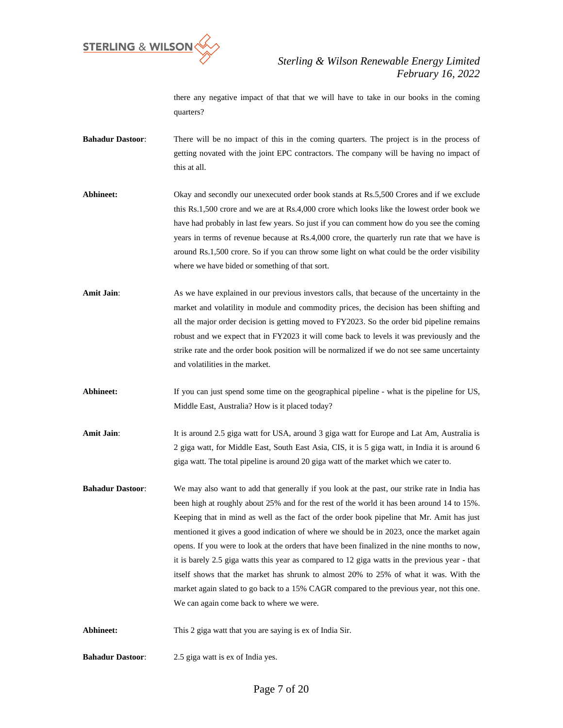

there any negative impact of that that we will have to take in our books in the coming quarters?

**Bahadur Dastoor**: There will be no impact of this in the coming quarters. The project is in the process of getting novated with the joint EPC contractors. The company will be having no impact of this at all.

Abhineet: Okay and secondly our unexecuted order book stands at Rs.5,500 Crores and if we exclude this Rs.1,500 crore and we are at Rs.4,000 crore which looks like the lowest order book we have had probably in last few years. So just if you can comment how do you see the coming years in terms of revenue because at Rs.4,000 crore, the quarterly run rate that we have is around Rs.1,500 crore. So if you can throw some light on what could be the order visibility where we have bided or something of that sort.

- **Amit Jain:** As we have explained in our previous investors calls, that because of the uncertainty in the market and volatility in module and commodity prices, the decision has been shifting and all the major order decision is getting moved to FY2023. So the order bid pipeline remains robust and we expect that in FY2023 it will come back to levels it was previously and the strike rate and the order book position will be normalized if we do not see same uncertainty and volatilities in the market.
- Abhineet: If you can just spend some time on the geographical pipeline what is the pipeline for US, Middle East, Australia? How is it placed today?
- Amit Jain: It is around 2.5 giga watt for USA, around 3 giga watt for Europe and Lat Am, Australia is 2 giga watt, for Middle East, South East Asia, CIS, it is 5 giga watt, in India it is around 6 giga watt. The total pipeline is around 20 giga watt of the market which we cater to.
- **Bahadur Dastoor**: We may also want to add that generally if you look at the past, our strike rate in India has been high at roughly about 25% and for the rest of the world it has been around 14 to 15%. Keeping that in mind as well as the fact of the order book pipeline that Mr. Amit has just mentioned it gives a good indication of where we should be in 2023, once the market again opens. If you were to look at the orders that have been finalized in the nine months to now, it is barely 2.5 giga watts this year as compared to 12 giga watts in the previous year - that itself shows that the market has shrunk to almost 20% to 25% of what it was. With the market again slated to go back to a 15% CAGR compared to the previous year, not this one. We can again come back to where we were.
- Abhineet: This 2 giga watt that you are saying is ex of India Sir.
- **Bahadur Dastoor**: 2.5 giga watt is ex of India yes.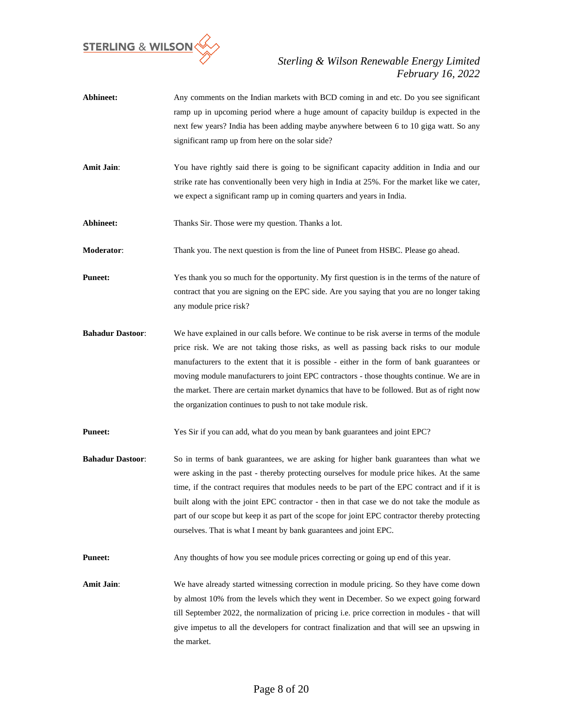

- Abhineet: Any comments on the Indian markets with BCD coming in and etc. Do you see significant ramp up in upcoming period where a huge amount of capacity buildup is expected in the next few years? India has been adding maybe anywhere between 6 to 10 giga watt. So any significant ramp up from here on the solar side?
- Amit Jain: You have rightly said there is going to be significant capacity addition in India and our strike rate has conventionally been very high in India at 25%. For the market like we cater, we expect a significant ramp up in coming quarters and years in India.

Abhineet: Thanks Sir. Those were my question. Thanks a lot.

**Moderator**: Thank you. The next question is from the line of Puneet from HSBC. Please go ahead.

**Puneet:** Yes thank you so much for the opportunity. My first question is in the terms of the nature of contract that you are signing on the EPC side. Are you saying that you are no longer taking any module price risk?

**Bahadur Dastoor**: We have explained in our calls before. We continue to be risk averse in terms of the module price risk. We are not taking those risks, as well as passing back risks to our module manufacturers to the extent that it is possible - either in the form of bank guarantees or moving module manufacturers to joint EPC contractors - those thoughts continue. We are in the market. There are certain market dynamics that have to be followed. But as of right now the organization continues to push to not take module risk.

**Puneet:** Yes Sir if you can add, what do you mean by bank guarantees and joint EPC?

**Bahadur Dastoor**: So in terms of bank guarantees, we are asking for higher bank guarantees than what we were asking in the past - thereby protecting ourselves for module price hikes. At the same time, if the contract requires that modules needs to be part of the EPC contract and if it is built along with the joint EPC contractor - then in that case we do not take the module as part of our scope but keep it as part of the scope for joint EPC contractor thereby protecting ourselves. That is what I meant by bank guarantees and joint EPC.

**Puneet:** Any thoughts of how you see module prices correcting or going up end of this year.

Amit Jain: We have already started witnessing correction in module pricing. So they have come down by almost 10% from the levels which they went in December. So we expect going forward till September 2022, the normalization of pricing i.e. price correction in modules - that will give impetus to all the developers for contract finalization and that will see an upswing in the market.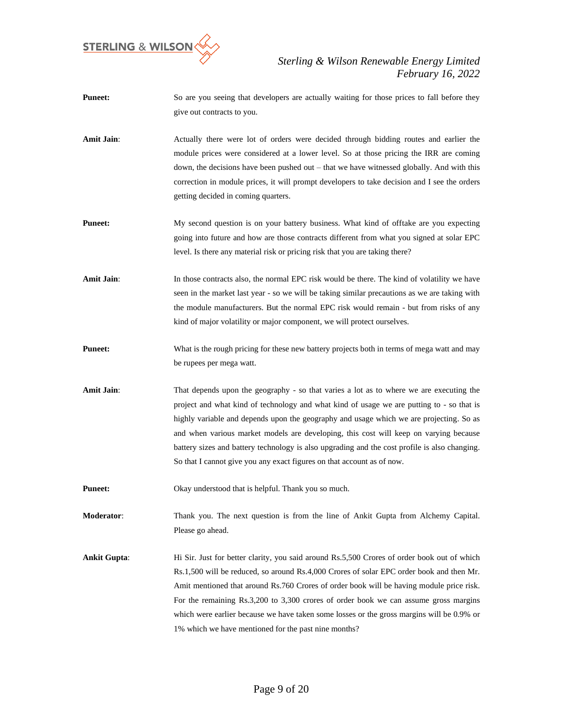

- **Puneet:** So are you seeing that developers are actually waiting for those prices to fall before they give out contracts to you.
- **Amit Jain**: Actually there were lot of orders were decided through bidding routes and earlier the module prices were considered at a lower level. So at those pricing the IRR are coming down, the decisions have been pushed out – that we have witnessed globally. And with this correction in module prices, it will prompt developers to take decision and I see the orders getting decided in coming quarters.
- **Puneet:** My second question is on your battery business. What kind of offtake are you expecting going into future and how are those contracts different from what you signed at solar EPC level. Is there any material risk or pricing risk that you are taking there?
- Amit Jain: In those contracts also, the normal EPC risk would be there. The kind of volatility we have seen in the market last year - so we will be taking similar precautions as we are taking with the module manufacturers. But the normal EPC risk would remain - but from risks of any kind of major volatility or major component, we will protect ourselves.
- **Puneet:** What is the rough pricing for these new battery projects both in terms of mega watt and may be rupees per mega watt.
- **Amit Jain:** That depends upon the geography so that varies a lot as to where we are executing the project and what kind of technology and what kind of usage we are putting to - so that is highly variable and depends upon the geography and usage which we are projecting. So as and when various market models are developing, this cost will keep on varying because battery sizes and battery technology is also upgrading and the cost profile is also changing. So that I cannot give you any exact figures on that account as of now.
- **Puneet:** Okay understood that is helpful. Thank you so much.
- **Moderator**: Thank you. The next question is from the line of Ankit Gupta from Alchemy Capital. Please go ahead.
- **Ankit Gupta**: Hi Sir. Just for better clarity, you said around Rs.5,500 Crores of order book out of which Rs.1,500 will be reduced, so around Rs.4,000 Crores of solar EPC order book and then Mr. Amit mentioned that around Rs.760 Crores of order book will be having module price risk. For the remaining Rs.3,200 to 3,300 crores of order book we can assume gross margins which were earlier because we have taken some losses or the gross margins will be 0.9% or 1% which we have mentioned for the past nine months?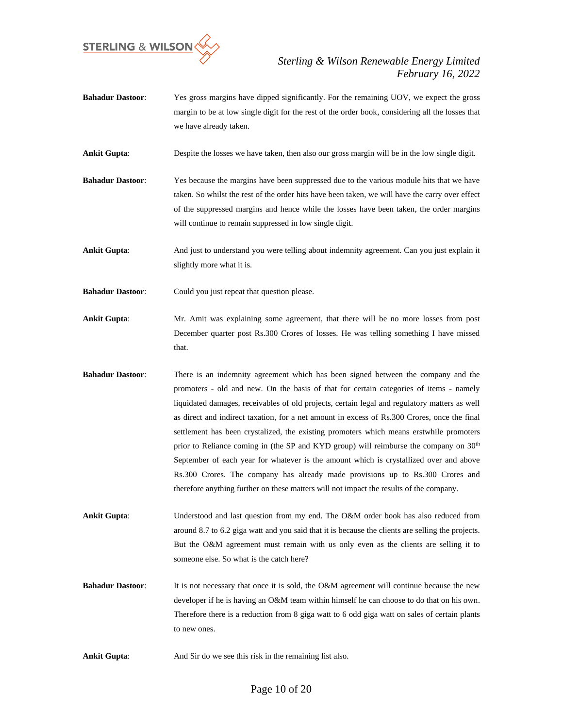

- **Bahadur Dastoor**: Yes gross margins have dipped significantly. For the remaining UOV, we expect the gross margin to be at low single digit for the rest of the order book, considering all the losses that we have already taken.
- **Ankit Gupta**: Despite the losses we have taken, then also our gross margin will be in the low single digit.
- **Bahadur Dastoor**: Yes because the margins have been suppressed due to the various module hits that we have taken. So whilst the rest of the order hits have been taken, we will have the carry over effect of the suppressed margins and hence while the losses have been taken, the order margins will continue to remain suppressed in low single digit.

**Ankit Gupta:** And just to understand you were telling about indemnity agreement. Can you just explain it slightly more what it is.

**Bahadur Dastoor:** Could you just repeat that question please.

- **Ankit Gupta**: Mr. Amit was explaining some agreement, that there will be no more losses from post December quarter post Rs.300 Crores of losses. He was telling something I have missed that.
- **Bahadur Dastoor**: There is an indemnity agreement which has been signed between the company and the promoters - old and new. On the basis of that for certain categories of items - namely liquidated damages, receivables of old projects, certain legal and regulatory matters as well as direct and indirect taxation, for a net amount in excess of Rs.300 Crores, once the final settlement has been crystalized, the existing promoters which means erstwhile promoters prior to Reliance coming in (the SP and KYD group) will reimburse the company on  $30<sup>th</sup>$ September of each year for whatever is the amount which is crystallized over and above Rs.300 Crores. The company has already made provisions up to Rs.300 Crores and therefore anything further on these matters will not impact the results of the company.

**Ankit Gupta**: Understood and last question from my end. The O&M order book has also reduced from around 8.7 to 6.2 giga watt and you said that it is because the clients are selling the projects. But the O&M agreement must remain with us only even as the clients are selling it to someone else. So what is the catch here?

**Bahadur Dastoor:** It is not necessary that once it is sold, the O&M agreement will continue because the new developer if he is having an O&M team within himself he can choose to do that on his own. Therefore there is a reduction from 8 giga watt to 6 odd giga watt on sales of certain plants to new ones.

**Ankit Gupta:** And Sir do we see this risk in the remaining list also.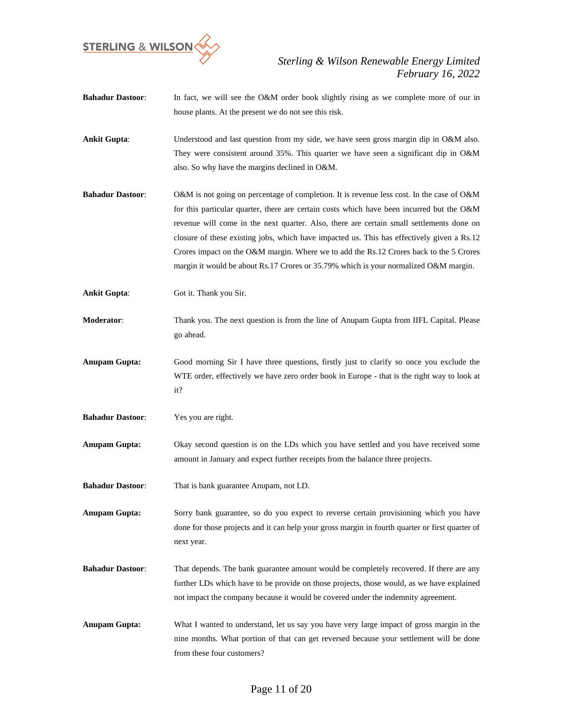

- **Bahadur Dastoor:** In fact, we will see the O&M order book slightly rising as we complete more of our in house plants. At the present we do not see this risk.
- **Ankit Gupta**: Understood and last question from my side, we have seen gross margin dip in O&M also. They were consistent around 35%. This quarter we have seen a significant dip in O&M also. So why have the margins declined in O&M.
- **Bahadur Dastoor**: O&M is not going on percentage of completion. It is revenue less cost. In the case of O&M for this particular quarter, there are certain costs which have been incurred but the O&M revenue will come in the next quarter. Also, there are certain small settlements done on closure of these existing jobs, which have impacted us. This has effectively given a Rs.12 Crores impact on the O&M margin. Where we to add the Rs.12 Crores back to the 5 Crores margin it would be about Rs.17 Crores or 35.79% which is your normalized O&M margin.
- **Ankit Gupta:** Got it. Thank you Sir.
- **Moderator**: Thank you. The next question is from the line of Anupam Gupta from IIFL Capital. Please go ahead.
- **Anupam Gupta:** Good morning Sir I have three questions, firstly just to clarify so once you exclude the WTE order, effectively we have zero order book in Europe - that is the right way to look at it?
- **Bahadur Dastoor**: Yes you are right.
- **Anupam Gupta:** Okay second question is on the LDs which you have settled and you have received some amount in January and expect further receipts from the balance three projects.
- **Bahadur Dastoor**: That is bank guarantee Anupam, not LD.

**Anupam Gupta:** Sorry bank guarantee, so do you expect to reverse certain provisioning which you have done for those projects and it can help your gross margin in fourth quarter or first quarter of next year.

- **Bahadur Dastoor**: That depends. The bank guarantee amount would be completely recovered. If there are any further LDs which have to be provide on those projects, those would, as we have explained not impact the company because it would be covered under the indemnity agreement.
- **Anupam Gupta:** What I wanted to understand, let us say you have very large impact of gross margin in the nine months. What portion of that can get reversed because your settlement will be done from these four customers?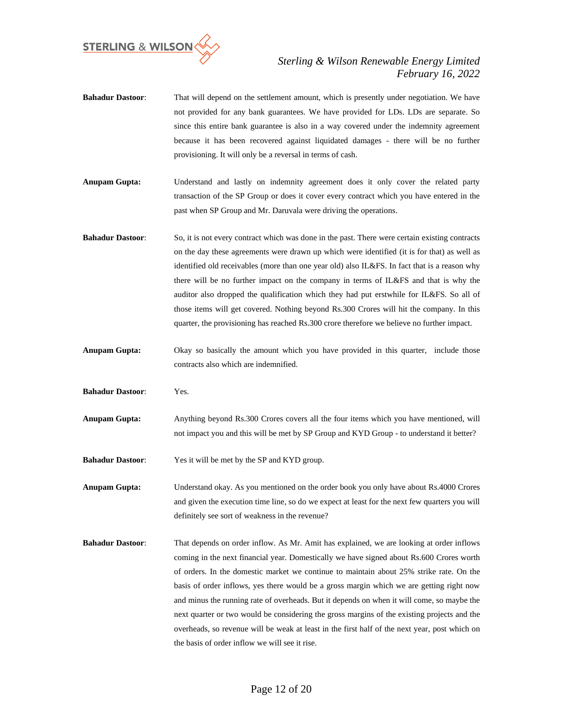

- **Bahadur Dastoor**: That will depend on the settlement amount, which is presently under negotiation. We have not provided for any bank guarantees. We have provided for LDs. LDs are separate. So since this entire bank guarantee is also in a way covered under the indemnity agreement because it has been recovered against liquidated damages - there will be no further provisioning. It will only be a reversal in terms of cash.
- **Anupam Gupta:** Understand and lastly on indemnity agreement does it only cover the related party transaction of the SP Group or does it cover every contract which you have entered in the past when SP Group and Mr. Daruvala were driving the operations.
- **Bahadur Dastoor**: So, it is not every contract which was done in the past. There were certain existing contracts on the day these agreements were drawn up which were identified (it is for that) as well as identified old receivables (more than one year old) also IL&FS. In fact that is a reason why there will be no further impact on the company in terms of IL&FS and that is why the auditor also dropped the qualification which they had put erstwhile for IL&FS. So all of those items will get covered. Nothing beyond Rs.300 Crores will hit the company. In this quarter, the provisioning has reached Rs.300 crore therefore we believe no further impact.
- **Anupam Gupta:** Okay so basically the amount which you have provided in this quarter, include those contracts also which are indemnified.
- **Bahadur Dastoor**: Yes.
- **Anupam Gupta:** Anything beyond Rs.300 Crores covers all the four items which you have mentioned, will not impact you and this will be met by SP Group and KYD Group - to understand it better?
- **Bahadur Dastoor**: Yes it will be met by the SP and KYD group.

**Anupam Gupta:** Understand okay. As you mentioned on the order book you only have about Rs.4000 Crores and given the execution time line, so do we expect at least for the next few quarters you will definitely see sort of weakness in the revenue?

**Bahadur Dastoor**: That depends on order inflow. As Mr. Amit has explained, we are looking at order inflows coming in the next financial year. Domestically we have signed about Rs.600 Crores worth of orders. In the domestic market we continue to maintain about 25% strike rate. On the basis of order inflows, yes there would be a gross margin which we are getting right now and minus the running rate of overheads. But it depends on when it will come, so maybe the next quarter or two would be considering the gross margins of the existing projects and the overheads, so revenue will be weak at least in the first half of the next year, post which on the basis of order inflow we will see it rise.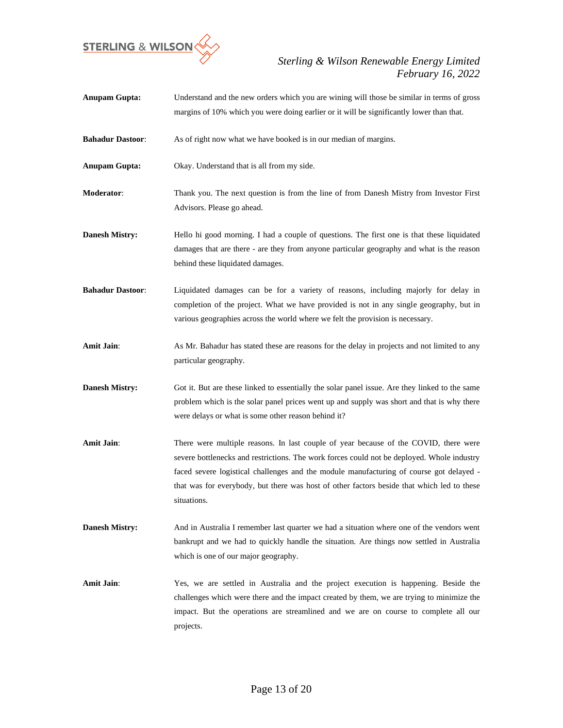

**Anupam Gupta:** Understand and the new orders which you are wining will those be similar in terms of gross margins of 10% which you were doing earlier or it will be significantly lower than that. **Bahadur Dastoor**: As of right now what we have booked is in our median of margins. **Anupam Gupta:** Okay. Understand that is all from my side. **Moderator:** Thank you. The next question is from the line of from Danesh Mistry from Investor First Advisors. Please go ahead. **Danesh Mistry:** Hello hi good morning. I had a couple of questions. The first one is that these liquidated damages that are there - are they from anyone particular geography and what is the reason behind these liquidated damages. **Bahadur Dastoor**: Liquidated damages can be for a variety of reasons, including majorly for delay in completion of the project. What we have provided is not in any single geography, but in various geographies across the world where we felt the provision is necessary. Amit Jain: As Mr. Bahadur has stated these are reasons for the delay in projects and not limited to any particular geography. **Danesh Mistry:** Got it. But are these linked to essentially the solar panel issue. Are they linked to the same problem which is the solar panel prices went up and supply was short and that is why there were delays or what is some other reason behind it? **Amit Jain**: There were multiple reasons. In last couple of year because of the COVID, there were severe bottlenecks and restrictions. The work forces could not be deployed. Whole industry faced severe logistical challenges and the module manufacturing of course got delayed that was for everybody, but there was host of other factors beside that which led to these situations. **Danesh Mistry:** And in Australia I remember last quarter we had a situation where one of the vendors went bankrupt and we had to quickly handle the situation. Are things now settled in Australia which is one of our major geography. **Amit Jain**: Yes, we are settled in Australia and the project execution is happening. Beside the challenges which were there and the impact created by them, we are trying to minimize the impact. But the operations are streamlined and we are on course to complete all our projects.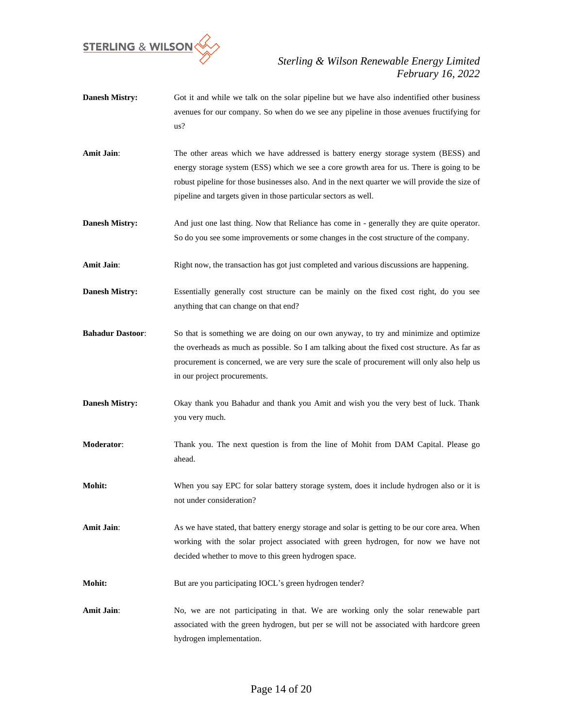

- **Danesh Mistry:** Got it and while we talk on the solar pipeline but we have also indentified other business avenues for our company. So when do we see any pipeline in those avenues fructifying for us?
- **Amit Jain:** The other areas which we have addressed is battery energy storage system (BESS) and energy storage system (ESS) which we see a core growth area for us. There is going to be robust pipeline for those businesses also. And in the next quarter we will provide the size of pipeline and targets given in those particular sectors as well.
- **Danesh Mistry:** And just one last thing. Now that Reliance has come in generally they are quite operator. So do you see some improvements or some changes in the cost structure of the company.
- **Amit Jain:** Right now, the transaction has got just completed and various discussions are happening.
- **Danesh Mistry:** Essentially generally cost structure can be mainly on the fixed cost right, do you see anything that can change on that end?
- **Bahadur Dastoor:** So that is something we are doing on our own anyway, to try and minimize and optimize the overheads as much as possible. So I am talking about the fixed cost structure. As far as procurement is concerned, we are very sure the scale of procurement will only also help us in our project procurements.
- **Danesh Mistry:** Okay thank you Bahadur and thank you Amit and wish you the very best of luck. Thank you very much.
- **Moderator**: Thank you. The next question is from the line of Mohit from DAM Capital. Please go ahead.
- **Mohit:** When you say EPC for solar battery storage system, does it include hydrogen also or it is not under consideration?
- Amit Jain: As we have stated, that battery energy storage and solar is getting to be our core area. When working with the solar project associated with green hydrogen, for now we have not decided whether to move to this green hydrogen space.
- **Mohit:** But are you participating IOCL's green hydrogen tender?
- Amit Jain: No, we are not participating in that. We are working only the solar renewable part associated with the green hydrogen, but per se will not be associated with hardcore green hydrogen implementation.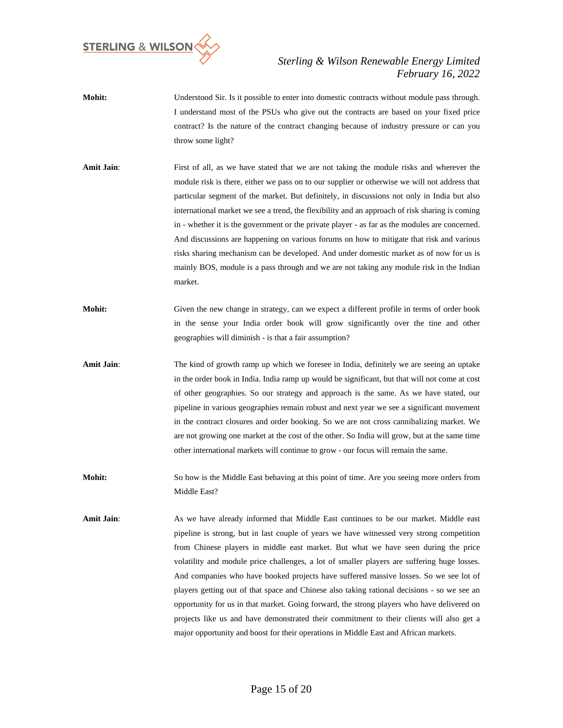

- **Mohit:** Understood Sir. Is it possible to enter into domestic contracts without module pass through. I understand most of the PSUs who give out the contracts are based on your fixed price contract? Is the nature of the contract changing because of industry pressure or can you throw some light?
- Amit Jain: First of all, as we have stated that we are not taking the module risks and wherever the module risk is there, either we pass on to our supplier or otherwise we will not address that particular segment of the market. But definitely, in discussions not only in India but also international market we see a trend, the flexibility and an approach of risk sharing is coming in - whether it is the government or the private player - as far as the modules are concerned. And discussions are happening on various forums on how to mitigate that risk and various risks sharing mechanism can be developed. And under domestic market as of now for us is mainly BOS, module is a pass through and we are not taking any module risk in the Indian market.
- **Mohit:** Given the new change in strategy, can we expect a different profile in terms of order book in the sense your India order book will grow significantly over the tine and other geographies will diminish - is that a fair assumption?
- Amit Jain: The kind of growth ramp up which we foresee in India, definitely we are seeing an uptake in the order book in India. India ramp up would be significant, but that will not come at cost of other geographies. So our strategy and approach is the same. As we have stated, our pipeline in various geographies remain robust and next year we see a significant movement in the contract closures and order booking. So we are not cross cannibalizing market. We are not growing one market at the cost of the other. So India will grow, but at the same time other international markets will continue to grow - our focus will remain the same.
- **Mohit:** So how is the Middle East behaving at this point of time. Are you seeing more orders from Middle East?
- Amit Jain: As we have already informed that Middle East continues to be our market. Middle east pipeline is strong, but in last couple of years we have witnessed very strong competition from Chinese players in middle east market. But what we have seen during the price volatility and module price challenges, a lot of smaller players are suffering huge losses. And companies who have booked projects have suffered massive losses. So we see lot of players getting out of that space and Chinese also taking rational decisions - so we see an opportunity for us in that market. Going forward, the strong players who have delivered on projects like us and have demonstrated their commitment to their clients will also get a major opportunity and boost for their operations in Middle East and African markets.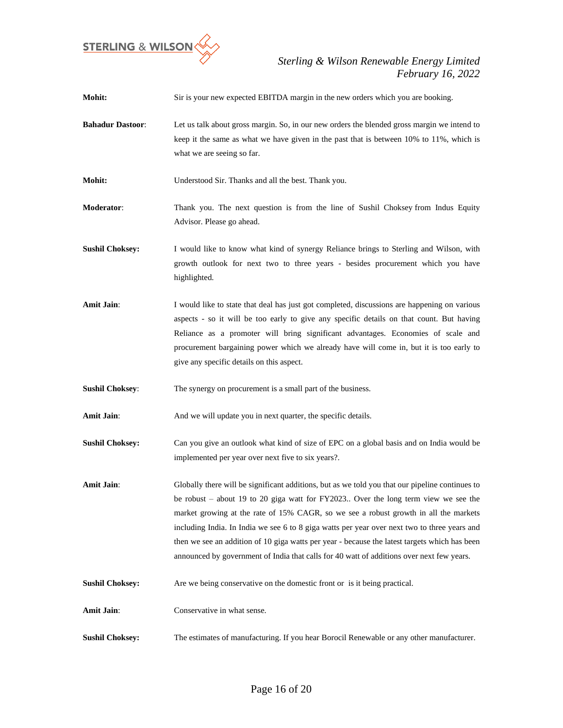

| Mohit:                  | Sir is your new expected EBITDA margin in the new orders which you are booking.                                                                                                                                                                                                                                                                                                                                                                                                                                                                                             |
|-------------------------|-----------------------------------------------------------------------------------------------------------------------------------------------------------------------------------------------------------------------------------------------------------------------------------------------------------------------------------------------------------------------------------------------------------------------------------------------------------------------------------------------------------------------------------------------------------------------------|
| <b>Bahadur Dastoor:</b> | Let us talk about gross margin. So, in our new orders the blended gross margin we intend to<br>keep it the same as what we have given in the past that is between 10% to 11%, which is<br>what we are seeing so far.                                                                                                                                                                                                                                                                                                                                                        |
| Mohit:                  | Understood Sir. Thanks and all the best. Thank you.                                                                                                                                                                                                                                                                                                                                                                                                                                                                                                                         |
| Moderator:              | Thank you. The next question is from the line of Sushil Choksey from Indus Equity<br>Advisor. Please go ahead.                                                                                                                                                                                                                                                                                                                                                                                                                                                              |
| <b>Sushil Choksey:</b>  | I would like to know what kind of synergy Reliance brings to Sterling and Wilson, with<br>growth outlook for next two to three years - besides procurement which you have<br>highlighted.                                                                                                                                                                                                                                                                                                                                                                                   |
| <b>Amit Jain:</b>       | I would like to state that deal has just got completed, discussions are happening on various<br>aspects - so it will be too early to give any specific details on that count. But having<br>Reliance as a promoter will bring significant advantages. Economies of scale and<br>procurement bargaining power which we already have will come in, but it is too early to<br>give any specific details on this aspect.                                                                                                                                                        |
| <b>Sushil Choksey:</b>  | The synergy on procurement is a small part of the business.                                                                                                                                                                                                                                                                                                                                                                                                                                                                                                                 |
| <b>Amit Jain:</b>       | And we will update you in next quarter, the specific details.                                                                                                                                                                                                                                                                                                                                                                                                                                                                                                               |
| <b>Sushil Choksey:</b>  | Can you give an outlook what kind of size of EPC on a global basis and on India would be<br>implemented per year over next five to six years?.                                                                                                                                                                                                                                                                                                                                                                                                                              |
| Amit Jain:              | Globally there will be significant additions, but as we told you that our pipeline continues to<br>be robust - about 19 to 20 giga watt for FY2023 Over the long term view we see the<br>market growing at the rate of 15% CAGR, so we see a robust growth in all the markets<br>including India. In India we see 6 to 8 giga watts per year over next two to three years and<br>then we see an addition of 10 giga watts per year - because the latest targets which has been<br>announced by government of India that calls for 40 watt of additions over next few years. |
| <b>Sushil Choksey:</b>  | Are we being conservative on the domestic front or is it being practical.                                                                                                                                                                                                                                                                                                                                                                                                                                                                                                   |
| Amit Jain:              | Conservative in what sense.                                                                                                                                                                                                                                                                                                                                                                                                                                                                                                                                                 |
| <b>Sushil Choksey:</b>  | The estimates of manufacturing. If you hear Borocil Renewable or any other manufacturer.                                                                                                                                                                                                                                                                                                                                                                                                                                                                                    |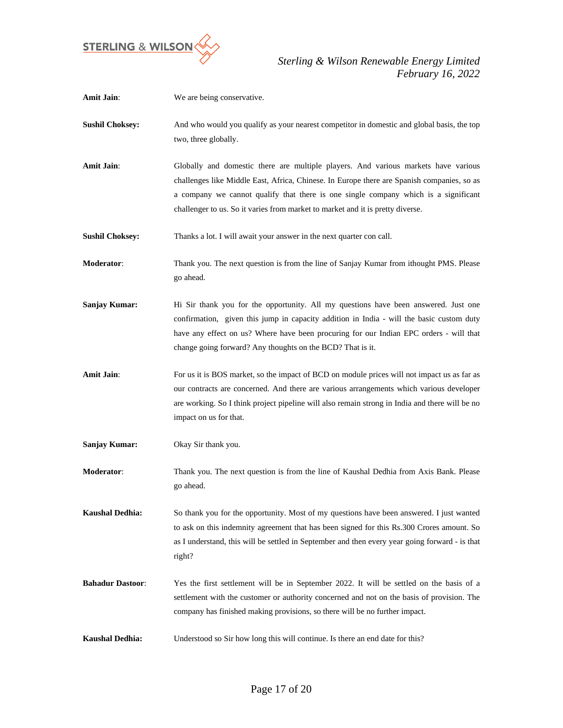

| <b>Amit Jain:</b>       | We are being conservative.                                                                                                                                                                                                                                                                                                                                |
|-------------------------|-----------------------------------------------------------------------------------------------------------------------------------------------------------------------------------------------------------------------------------------------------------------------------------------------------------------------------------------------------------|
| <b>Sushil Choksey:</b>  | And who would you qualify as your nearest competitor in domestic and global basis, the top<br>two, three globally.                                                                                                                                                                                                                                        |
| <b>Amit Jain:</b>       | Globally and domestic there are multiple players. And various markets have various<br>challenges like Middle East, Africa, Chinese. In Europe there are Spanish companies, so as<br>a company we cannot qualify that there is one single company which is a significant<br>challenger to us. So it varies from market to market and it is pretty diverse. |
| <b>Sushil Choksey:</b>  | Thanks a lot. I will await your answer in the next quarter con call.                                                                                                                                                                                                                                                                                      |
| Moderator:              | Thank you. The next question is from the line of Sanjay Kumar from ithought PMS. Please<br>go ahead.                                                                                                                                                                                                                                                      |
| <b>Sanjay Kumar:</b>    | Hi Sir thank you for the opportunity. All my questions have been answered. Just one<br>confirmation, given this jump in capacity addition in India - will the basic custom duty<br>have any effect on us? Where have been procuring for our Indian EPC orders - will that<br>change going forward? Any thoughts on the BCD? That is it.                   |
| <b>Amit Jain:</b>       | For us it is BOS market, so the impact of BCD on module prices will not impact us as far as<br>our contracts are concerned. And there are various arrangements which various developer<br>are working. So I think project pipeline will also remain strong in India and there will be no<br>impact on us for that.                                        |
| <b>Sanjay Kumar:</b>    | Okay Sir thank you.                                                                                                                                                                                                                                                                                                                                       |
| Moderator:              | Thank you. The next question is from the line of Kaushal Dedhia from Axis Bank. Please<br>go ahead.                                                                                                                                                                                                                                                       |
| <b>Kaushal Dedhia:</b>  | So thank you for the opportunity. Most of my questions have been answered. I just wanted<br>to ask on this indemnity agreement that has been signed for this Rs.300 Crores amount. So<br>as I understand, this will be settled in September and then every year going forward - is that<br>right?                                                         |
| <b>Bahadur Dastoor:</b> | Yes the first settlement will be in September 2022. It will be settled on the basis of a<br>settlement with the customer or authority concerned and not on the basis of provision. The<br>company has finished making provisions, so there will be no further impact.                                                                                     |
| <b>Kaushal Dedhia:</b>  | Understood so Sir how long this will continue. Is there an end date for this?                                                                                                                                                                                                                                                                             |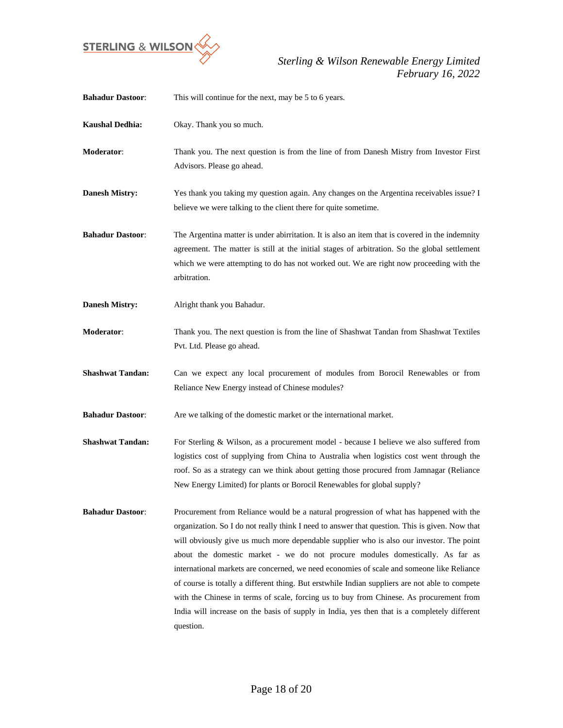

| <b>Bahadur Dastoor:</b> | This will continue for the next, may be 5 to 6 years.                                                                                                                                                                                                                                                                                                                                                                                                                                                                                                                                                                                                                                                                                                                        |
|-------------------------|------------------------------------------------------------------------------------------------------------------------------------------------------------------------------------------------------------------------------------------------------------------------------------------------------------------------------------------------------------------------------------------------------------------------------------------------------------------------------------------------------------------------------------------------------------------------------------------------------------------------------------------------------------------------------------------------------------------------------------------------------------------------------|
| <b>Kaushal Dedhia:</b>  | Okay. Thank you so much.                                                                                                                                                                                                                                                                                                                                                                                                                                                                                                                                                                                                                                                                                                                                                     |
| <b>Moderator:</b>       | Thank you. The next question is from the line of from Danesh Mistry from Investor First<br>Advisors. Please go ahead.                                                                                                                                                                                                                                                                                                                                                                                                                                                                                                                                                                                                                                                        |
| <b>Danesh Mistry:</b>   | Yes thank you taking my question again. Any changes on the Argentina receivables issue? I<br>believe we were talking to the client there for quite sometime.                                                                                                                                                                                                                                                                                                                                                                                                                                                                                                                                                                                                                 |
| <b>Bahadur Dastoor:</b> | The Argentina matter is under abirritation. It is also an item that is covered in the indemnity<br>agreement. The matter is still at the initial stages of arbitration. So the global settlement<br>which we were attempting to do has not worked out. We are right now proceeding with the<br>arbitration.                                                                                                                                                                                                                                                                                                                                                                                                                                                                  |
| <b>Danesh Mistry:</b>   | Alright thank you Bahadur.                                                                                                                                                                                                                                                                                                                                                                                                                                                                                                                                                                                                                                                                                                                                                   |
| Moderator:              | Thank you. The next question is from the line of Shashwat Tandan from Shashwat Textiles<br>Pvt. Ltd. Please go ahead.                                                                                                                                                                                                                                                                                                                                                                                                                                                                                                                                                                                                                                                        |
| <b>Shashwat Tandan:</b> | Can we expect any local procurement of modules from Borocil Renewables or from<br>Reliance New Energy instead of Chinese modules?                                                                                                                                                                                                                                                                                                                                                                                                                                                                                                                                                                                                                                            |
| <b>Bahadur Dastoor:</b> | Are we talking of the domestic market or the international market.                                                                                                                                                                                                                                                                                                                                                                                                                                                                                                                                                                                                                                                                                                           |
| <b>Shashwat Tandan:</b> | For Sterling & Wilson, as a procurement model - because I believe we also suffered from<br>logistics cost of supplying from China to Australia when logistics cost went through the<br>roof. So as a strategy can we think about getting those procured from Jamnagar (Reliance<br>New Energy Limited) for plants or Borocil Renewables for global supply?                                                                                                                                                                                                                                                                                                                                                                                                                   |
| <b>Bahadur Dastoor:</b> | Procurement from Reliance would be a natural progression of what has happened with the<br>organization. So I do not really think I need to answer that question. This is given. Now that<br>will obviously give us much more dependable supplier who is also our investor. The point<br>about the domestic market - we do not procure modules domestically. As far as<br>international markets are concerned, we need economies of scale and someone like Reliance<br>of course is totally a different thing. But erstwhile Indian suppliers are not able to compete<br>with the Chinese in terms of scale, forcing us to buy from Chinese. As procurement from<br>India will increase on the basis of supply in India, yes then that is a completely different<br>question. |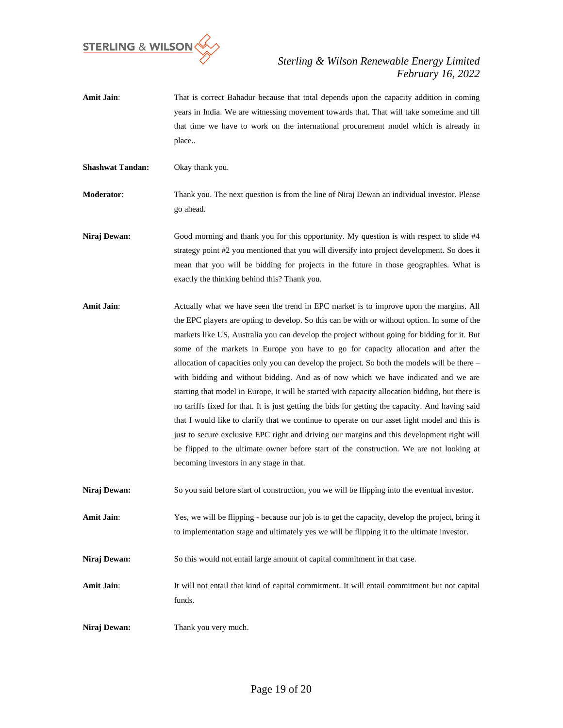

Amit Jain: That is correct Bahadur because that total depends upon the capacity addition in coming years in India. We are witnessing movement towards that. That will take sometime and till that time we have to work on the international procurement model which is already in place..

**Shashwat Tandan:** Okay thank you.

**Moderator**: Thank you. The next question is from the line of Niraj Dewan an individual investor. Please go ahead.

**Niraj Dewan:** Good morning and thank you for this opportunity. My question is with respect to slide #4 strategy point #2 you mentioned that you will diversify into project development. So does it mean that you will be bidding for projects in the future in those geographies. What is exactly the thinking behind this? Thank you.

**Amit Jain:** Actually what we have seen the trend in EPC market is to improve upon the margins. All the EPC players are opting to develop. So this can be with or without option. In some of the markets like US, Australia you can develop the project without going for bidding for it. But some of the markets in Europe you have to go for capacity allocation and after the allocation of capacities only you can develop the project. So both the models will be there – with bidding and without bidding. And as of now which we have indicated and we are starting that model in Europe, it will be started with capacity allocation bidding, but there is no tariffs fixed for that. It is just getting the bids for getting the capacity. And having said that I would like to clarify that we continue to operate on our asset light model and this is just to secure exclusive EPC right and driving our margins and this development right will be flipped to the ultimate owner before start of the construction. We are not looking at becoming investors in any stage in that.

**Niraj Dewan:** So you said before start of construction, you we will be flipping into the eventual investor.

**Amit Jain**: Yes, we will be flipping - because our job is to get the capacity, develop the project, bring it to implementation stage and ultimately yes we will be flipping it to the ultimate investor.

**Niraj Dewan:** So this would not entail large amount of capital commitment in that case.

**Amit Jain**: It will not entail that kind of capital commitment. It will entail commitment but not capital funds.

**Niraj Dewan:** Thank you very much.